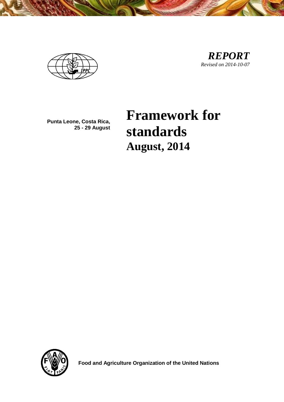

**Punta Leone, Costa Rica, 25 - 29 August**

# **Framework for standards August, 2014**



 **Food and Agriculture Organization of the United Nations**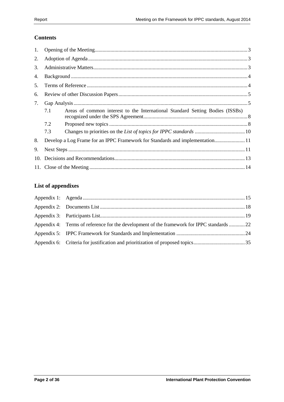## **Contents**

| 1.  |                                                                                      |  |  |  |  |
|-----|--------------------------------------------------------------------------------------|--|--|--|--|
| 2.  |                                                                                      |  |  |  |  |
| 3.  |                                                                                      |  |  |  |  |
| 4.  |                                                                                      |  |  |  |  |
| 5.  |                                                                                      |  |  |  |  |
| 6.  |                                                                                      |  |  |  |  |
| 7.  |                                                                                      |  |  |  |  |
|     | Areas of common interest to the International Standard Setting Bodies (ISSBs)<br>7.1 |  |  |  |  |
|     | 7.2                                                                                  |  |  |  |  |
|     | 7.3                                                                                  |  |  |  |  |
| 8.  | Develop a Log Frame for an IPPC Framework for Standards and implementation11         |  |  |  |  |
| 9.  |                                                                                      |  |  |  |  |
| 10. |                                                                                      |  |  |  |  |
|     |                                                                                      |  |  |  |  |

# **List of appendixes**

| Appendix 4: Terms of reference for the development of the framework for IPPC standards 22 |  |
|-------------------------------------------------------------------------------------------|--|
|                                                                                           |  |
|                                                                                           |  |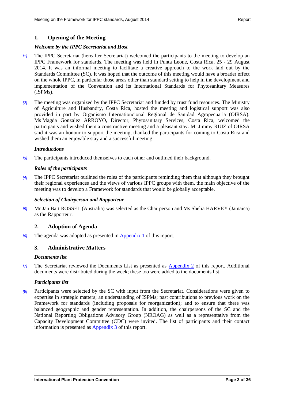## <span id="page-2-0"></span>**1. Opening of the Meeting**

#### *Welcome by the IPPC Secretariat and Host*

- *[1]* The IPPC Secretariat (hereafter Secretariat) welcomed the participants to the meeting to develop an IPPC Framework for standards. The meeting was held in Punta Leone, Costa Rica, 25 - 29 August 2014. It was an informal meeting to facilitate a creative approach to the work laid out by the Standards Committee (SC). It was hoped that the outcome of this meeting would have a broader effect on the whole IPPC, in particular those areas other than standard setting to help in the development and implementation of the Convention and its International Standards for Phytosanitary Measures (ISPMs).
- *[2]* The meeting was organized by the IPPC Secretariat and funded by trust fund resources. The Ministry of Agriculture and Husbandry, Costa Rica, hosted the meeting and logistical support was also provided in part by Organismo Internationcional Regional de Sanidad Agropecuaria (OIRSA). Ms Magda Gonzalez ARROYO, Director, Phytosanitary Services, Costa Rica, welcomed the participants and wished them a constructive meeting and a pleasant stay. Mr Jimmy RUIZ of OIRSA said it was an honour to support the meeting, thanked the participants for coming to Costa Rica and wished them an enjoyable stay and a successful meeting.

#### *Introductions*

*[3]* The participants introduced themselves to each other and outlined their background.

#### *Roles of the participants*

*[4]* The IPPC Secretariat outlined the roles of the participants reminding them that although they brought their regional experiences and the views of various IPPC groups with them, the main objective of the meeting was to develop a Framework for standards that would be globally acceptable.

#### *Selection of Chairperson and Rapporteur*

*[5]* Mr Jan Bart ROSSEL (Australia) was selected as the Chairperson and Ms Shelia HARVEY (Jamaica) as the Rapporteur.

## <span id="page-2-1"></span>**2. Adoption of Agenda**

*[6]* The agenda was adopted as presented in [Appendix 1](#page-14-0) of this report.

## <span id="page-2-2"></span>**3. Administrative Matters**

#### *Documents list*

*[7]* The Secretariat reviewed the Documents List as presented as [Appendix 2](#page-17-0) of this report. Additional documents were distributed during the week; these too were added to the documents list.

#### *Participants list*

*[8]* Participants were selected by the SC with input from the Secretariat. Considerations were given to expertise in strategic matters; an understanding of ISPMs; past contributions to previous work on the Framework for standards (including proposals for reorganization); and to ensure that there was balanced geographic and gender representation. In addition, the chairpersons of the SC and the National Reporting Obligations Advisory Group (NROAG) as well as a representative from the Capacity Development Committee (CDC) were invited. The list of participants and their contact information is presented as [Appendix 3](#page-18-0) of this report.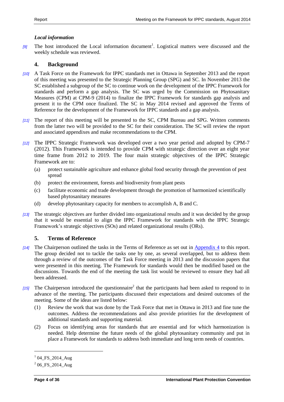#### *Local information*

[9] The host introduced the Local information document<sup>1</sup>. Logistical matters were discussed and the weekly schedule was reviewed.

## <span id="page-3-0"></span>**4. Background**

- *[10]* A Task Force on the Framework for IPPC standards met in Ottawa in September 2013 and the report of this meeting was presented to the Strategic Planning Group (SPG) and SC. In November 2013 the SC established a subgroup of the SC to continue work on the development of the IPPC Framework for standards and perform a gap analysis. The SC was urged by the Commission on Phytosanitary Measures (CPM) at CPM-9 (2014) to finalize the IPPC Framework for standards gap analysis and present it to the CPM once finalized. The SC in May 2014 revised and approved the Terms of Reference for the development of the Framework for IPPC standards and a gap analysis.
- *[11]* The report of this meeting will be presented to the SC, CPM Bureau and SPG. Written comments from the latter two will be provided to the SC for their consideration. The SC will review the report and associated appendixes and make recommendations to the CPM.
- *[12]* The IPPC Strategic Framework was developed over a two year period and adopted by CPM-7 (2012). This Framework is intended to provide CPM with strategic direction over an eight year time frame from 2012 to 2019. The four main strategic objectives of the IPPC Strategic Framework are to:
	- (a) protect sustainable agriculture and enhance global food security through the prevention of pest spread
	- (b) protect the environment, forests and biodiversity from plant pests
	- (c) facilitate economic and trade development through the promotion of harmonized scientifically based phytosanitary measures
	- (d) develop phytosanitary capacity for members to accomplish A, B and C.
- *[13]* The strategic objectives are further divided into organizational results and it was decided by the group that it would be essential to align the IPPC Framework for standards with the IPPC Strategic Framework's strategic objectives (SOs) and related organizational results (ORs).

## <span id="page-3-1"></span>**5. Terms of Reference**

- *[14]* The Chairperson outlined the tasks in the Terms of Reference as set out in [Appendix 4](#page-21-0) to this report. The group decided not to tackle the tasks one by one, as several overlapped, but to address them through a review of the outcomes of the Task Force meeting in 2013 and the discussion papers that were presented in this meeting. The Framework for standards would then be modified based on the discussions. Towards the end of the meeting the task list would be reviewed to ensure they had all been addressed.
- [15] The Chairperson introduced the questionnaire<sup>2</sup> that the participants had been asked to respond to in advance of the meeting. The participants discussed their expectations and desired outcomes of the meeting. Some of the ideas are listed below:
	- (1) Review the work that was done by the Task Force that met in Ottawa in 2013 and fine tune the outcomes. Address the recommendations and also provide priorities for the development of additional standards and supporting material.
	- (2) Focus on identifying areas for standards that are essential and for which harmonization is needed. Help determine the future needs of the global phytosanitary community and put in place a Framework for standards to address both immediate and long term needs of countries.

1

 $^{1}$  04\_FS\_2014\_Aug

 $^{2}$  06\_FS\_2014\_Aug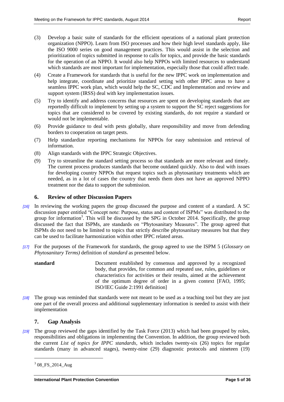- (3) Develop a basic suite of standards for the efficient operations of a national plant protection organization (NPPO). Learn from ISO processes and how their high level standards apply, like the ISO 9000 series on good management practices. This would assist in the selection and prioritization of topics submitted in response to calls for topics, and provide the basic standards for the operation of an NPPO. It would also help NPPOs with limited resources to understand which standards are most important for implementation, especially those that could affect trade.
- (4) Create a Framework for standards that is useful for the new IPPC work on implementation and help integrate, coordinate and prioritize standard setting with other IPPC areas to have a seamless IPPC work plan, which would help the SC, CDC and Implementation and review and support system (IRSS) deal with key implementation issues.
- (5) Try to identify and address concerns that resources are spent on developing standards that are reportedly difficult to implement by setting up a system to support the SC reject suggestions for topics that are considered to be covered by existing standards, do not require a standard or would not be implementable.
- (6) Provide guidance to deal with pests globally, share responsibility and move from defending borders to cooperation on target pests.
- (7) Help standardize reporting mechanisms for NPPOs for easy submission and retrieval of information.
- (8) Align standards with the IPPC Strategic Objectives.
- (9) Try to streamline the standard setting process so that standards are more relevant and timely. The current process produces standards that become outdated quickly. Also to deal with issues for developing country NPPOs that request topics such as phytosanitary treatments which are needed, as in a lot of cases the country that needs them does not have an approved NPPO treatment nor the data to support the submission.

## <span id="page-4-0"></span>**6. Review of other Discussion Papers**

- *[16]* In reviewing the working papers the group discussed the purpose and content of a standard. A SC discussion paper entitled "Concept note: Purpose, status and content of ISPMs" was distributed to the group for information<sup>3</sup>. This will be discussed by the SPG in October 2014. Specifically, the group discussed the fact that ISPMs, are standards on "Phytosanitary Measures". The group agreed that ISPMs do not need to be limited to topics that strictly describe phytosanitary measures but that they can be used to facilitate harmonization within other IPPC related areas.
- *[17]* For the purposes of the Framework for standards, the group agreed to use the ISPM 5 (*Glossary on Phytosanitary Terms)* definition of *standard* as presented below.
	- **standard** Document established by consensus and approved by a recognized body, that provides, for common and repeated use, rules, guidelines or characteristics for activities or their results, aimed at the achievement of the optimum degree of order in a given context [FAO, 1995; ISO/IEC Guide 2:1991 definition]
- *[18]* The group was reminded that standards were not meant to be used as a teaching tool but they are just one part of the overall process and additional supplementary information is needed to assist with their implementation

## <span id="page-4-1"></span>**7. Gap Analysis**

*[19]* The group reviewed the gaps identified by the Task Force (2013) which had been grouped by roles, responsibilities and obligations in implementing the Convention. In addition, the group reviewed both the current *List of topics for IPPC standards,* which includes twenty-six (26) topics for regular standards (many in advanced stages), twenty-nine (29) diagnostic protocols and nineteen (19)

-

 $308$ <sub>FS</sub>\_2014\_Aug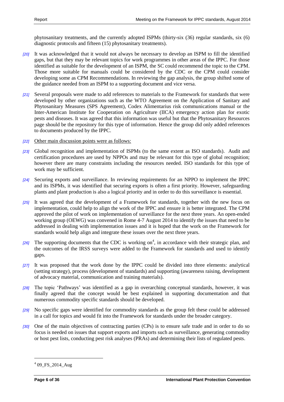phytosanitary treatments, and the currently adopted ISPMs (thirty-six (36) regular standards, six (6) diagnostic protocols and fifteen (15) phytosanitary treatments).

- *[20]* It was acknowledged that it would not always be necessary to develop an ISPM to fill the identified gaps, but that they may be relevant topics for work programmes in other areas of the IPPC. For those identified as suitable for the development of an ISPM, the SC could recommend the topic to the CPM. Those more suitable for manuals could be considered by the CDC or the CPM could consider developing some as CPM Recommendations. In reviewing the gap analysis, the group shifted some of the guidance needed from an ISPM to a supporting document and vice versa.
- *[21]* Several proposals were made to add references to materials to the Framework for standards that were developed by other organizations such as the WTO Agreement on the Application of Sanitary and Phytosanitary Measures (SPS Agreement), Codex Alimentarius risk communications manual or the Inter-American Institute for Cooperation on Agriculture (IICA) emergency action plan for exotic pests and diseases. It was agreed that this information was useful but that the Phytosanitary Resources page should be the repository for this type of information. Hence the group did only added references to documents produced by the IPPC.
- *[22]* Other main discussion points were as follows:
- *[23]* Global recognition and implementation of ISPMs (to the same extent as ISO standards). Audit and certification procedures are used by NPPOs and may be relevant for this type of global recognition; however there are many constraints including the resources needed. ISO standards for this type of work may be sufficient.
- *[24]* Securing exports and surveillance. In reviewing requirements for an NPPO to implement the IPPC and its ISPMs, it was identified that securing exports is often a first priority. However, safeguarding plants and plant production is also a logical priority and in order to do this surveillance is essential.
- *[25]* It was agreed that the development of a Framework for standards, together with the new focus on implementation, could help to align the work of the IPPC and ensure it is better integrated. The CPM approved the pilot of work on implementation of surveillance for the next three years. An open-ended working group (OEWG) was convened in Rome 4-7 August 2014 to identify the issues that need to be addressed in dealing with implementation issues and it is hoped that the work on the Framework for standards would help align and integrate these issues over the next three years.
- [26] The supporting documents that the CDC is working on<sup>4</sup>, in accordance with their strategic plan, and the outcomes of the IRSS surveys were added to the Framework for standards and used to identify gaps.
- *[27]* It was proposed that the work done by the IPPC could be divided into three elements: analytical (setting strategy), process (development of standards) and supporting (awareness raising, development of advocacy material, communication and training materials).
- *[28]* The topic 'Pathways' was identified as a gap in overarching conceptual standards, however, it was finally agreed that the concept would be best explained in supporting documentation and that numerous commodity specific standards should be developed.
- *[29]* No specific gaps were identified for commodity standards as the group felt these could be addressed in a call for topics and would fit into the Framework for standards under the broader category.
- *[30]* One of the main objectives of contracting parties (CPs) is to ensure safe trade and in order to do so focus is needed on issues that support exports and imports such as surveillance, generating commodity or host pest lists, conducting pest risk analyses (PRAs) and determining their lists of regulated pests.

-

 $^{4}$  09\_FS\_2014\_Aug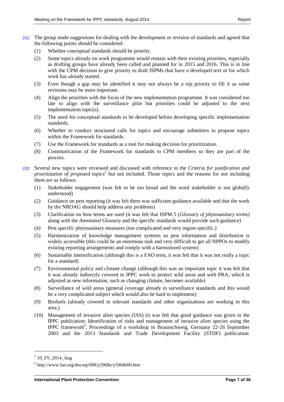- *[31]* The group made suggestions for dealing with the development or revision of standards and agreed that the following points should be considered:
	- (1) Whether conceptual standards should be priority.
	- (2) Some topics already on work programme would remain with their existing priorities, especially as drafting groups have already been called and planned for in 2015 and 2016. This is in line with the CPM decision to give priority to draft ISPMs that have a developed text or for which work has already started.
	- (3) Even though a gap may be identified it may not always be a top priority to fill it as some revisions may be more important.
	- (4) Align the priorities with the focus of the new implementation programme. It was considered too late to align with the surveillance pilot but priorities could be adjusted to the next implementation topic(s).
	- (5) The need for conceptual standards to be developed before developing specific implementation standards.
	- (6) Whether to conduct structured calls for topics and encourage submitters to propose topics within the Framework for standards.
	- (7) Use the Framework for standards as a tool for making decision for prioritization.
	- (8) Communication of the Framework for standards to CPM members so they are part of the process.
- *[32]* Several new topics were reviewed and discussed with reference to the *Criteria for justification and prioritization of proposed topics*<sup>5</sup> but not included. Those topics and the reasons for not including them are as follows:
	- (1) Stakeholder engagement (was felt to be too broad and the word stakeholder is not globally understood)
	- (2) Guidance on pest reporting (it was felt there was sufficient guidance available and that the work by the NROAG should help address any problems)
	- (3) Clarification on how terms are used (it was felt that ISPM 5 (*Glossary of phytosanitary terms)*  along with the *Annotated Glossary* and the specific standards would provide such guidance)
	- (4) Pest specific phytosanitary measures (too complicated and very region specific.)
	- (5) Harmonization of knowledge management systems so pest information and distribution is widely accessible (this could be an enormous task and very difficult to get all NPPOs to modify existing reporting arrangements and comply with a harmonized system)
	- (6) Sustainable intensification (although this is a FAO term, it was felt that it was not really a topic for a standard)
	- (7) Environmental policy and climate change (although this was an important topic it was felt that it was already indirectly covered in IPPC work to protect wild areas and with PRA, which is adjusted as new information, such as changing climate, becomes available)
	- (8) Surveillance of wild areas (general coverage already in surveillance standards and this would be a very complicated subject which would also be hard to implement)
	- (9) Biofuels (already covered in relevant standards and other organizations are working in this area.)
	- (10) Management of invasive alien species (IAS) (it was felt that good guidance was given in the IPPC publication: Identification of risks and management of invasive alien species using the IPPC framework<sup>6</sup>, Proceedings of a workshop in Braunschweig, Germany 22-26 September 2003 and the 2013 Standards and Trade Development Facility (STDF) publication:

1

<sup>5</sup> 10\_FS\_2014\_Aug

 $6$  http://www.fao.org/docrep/008/y5968e/y5968e00.htm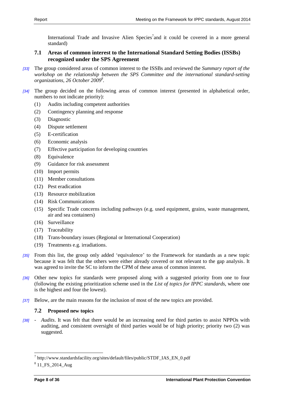International Trade and Invasive Alien Species<sup>7</sup> and it could be covered in a more general standard)

## <span id="page-7-0"></span>**7.1 Areas of common interest to the International Standard Setting Bodies (ISSBs) recognized under the SPS Agreement**

- *[33]* The group considered areas of common interest to the ISSBs and reviewed the *Summary report of the workshop on the relationship between the SPS Committee and the international standard-setting organizations, 26 October 2009<sup>8</sup> .*
- *[34]* The group decided on the following areas of common interest (presented in alphabetical order, numbers to not indicate priority):
	- (1) Audits including competent authorities
	- (2) Contingency planning and response
	- (3) Diagnostic
	- (4) Dispute settlement
	- (5) E-certification
	- (6) Economic analysis
	- (7) Effective participation for developing countries
	- (8) Equivalence
	- (9) Guidance for risk assessment
	- (10) Import permits
	- (11) Member consultations
	- (12) Pest eradication
	- (13) Resource mobilization
	- (14) Risk Communications
	- (15) Specific Trade concerns including pathways (e.g. used equipment, grains, waste management, air and sea containers)
	- (16) Surveillance
	- (17) Traceability
	- (18) Trans-boundary issues (Regional or International Cooperation)
	- (19) Treatments e.g. irradiations.
- *[35]* From this list, the group only added 'equivalence' to the Framework for standards as a new topic because it was felt that the others were either already covered or not relevant to the gap analysis. It was agreed to invite the SC to inform the CPM of these areas of common interest.
- *[36]* Other new topics for standards were proposed along with a suggested priority from one to four (following the existing prioritization scheme used in the *List of topics for IPPC standards*, where one is the highest and four the lowest).
- *[37]* Below, are the main reasons for the inclusion of most of the new topics are provided.

## <span id="page-7-1"></span>**7.2 Proposed new topics**

*[38]* - *Audits*. It was felt that there would be an increasing need for third parties to assist NPPOs with auditing, and consistent oversight of third parties would be of high priority; priority two (2) was suggested.

 7 http://www.standardsfacility.org/sites/default/files/public/STDF\_IAS\_EN\_0.pdf

<sup>8</sup> 11\_FS\_2014\_Aug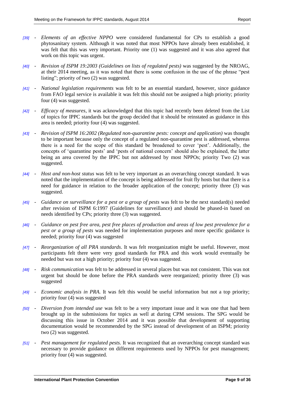- *[39] Elements of an effective NPPO* were considered fundamental for CPs to establish a good phytosanitary system. Although it was noted that most NPPOs have already been established, it was felt that this was very important. Priority one (1) was suggested and it was also agreed that work on this topic was urgent.
- *[40] Revision of ISPM 19:2003 (Guidelines on lists of regulated pests)* was suggested by the NROAG, at their 2014 meeting, as it was noted that there is some confusion in the use of the phrase "pest listing"; priority of two (2) was suggested.
- *[41] National legislation requirements* was felt to be an essential standard, however, since guidance from FAO legal service is available it was felt this should not be assigned a high priority; priority four (4) was suggested.
- *[42] Efficacy of measures*, it was acknowledged that this topic had recently been deleted from the List of topics for IPPC standards but the group decided that it should be reinstated as guidance in this area is needed; priority four (4) was suggested.
- *[43] Revision of ISPM 16:2002 (Regulated non-quarantine pests: concept and application)* was thought to be important because only the concept of a regulated non-quarantine pest is addressed, whereas there is a need for the scope of this standard be broadened to cover 'pest'. Additionally, the concepts of 'quarantine pests' and 'pests of national concern' should also be explained, the latter being an area covered by the IPPC but not addressed by most NPPOs; priority Two (2) was suggested.
- *[44] Host and non-host status* was felt to be very important as an overarching concept standard. It was noted that the implementation of the concept is being addressed for fruit fly hosts but that there is a need for guidance in relation to the broader application of the concept; priority three (3) was suggested.
- *[45] Guidance on surveillance for a pest or a group of pests* was felt to be the next standard(s) needed after revision of ISPM 6:1997 (Guidelines for surveillance) and should be phased-in based on needs identified by CPs; priority three (3) was suggested.
- *[46] Guidance on pest free area, pest free places of production and areas of low pest prevalence for a pest or a group of pests* was needed for implementation purposes and more specific guidance is needed; priority four (4) was suggested
- *[47] Reorganization of all PRA standards*. It was felt reorganization might be useful. However, most participants felt there were very good standards for PRA and this work would eventually be needed but was not a high priority; priority four (4) was suggested.
- *[48] Risk communication* was felt to be addressed in several places but was not consistent. This was not urgent but should be done before the PRA standards were reorganized; priority three (3) was suggested
- *[49] Economic analysis in PRA*. It was felt this would be useful information but not a top priority; priority four (4) was suggested
- *[50] Diversion from intended use* was felt to be a very important issue and it was one that had been brought up in the submissions for topics as well at during CPM sessions. The SPG would be discussing this issue in October 2014 and it was possible that development of supporting documentation would be recommended by the SPG instead of development of an ISPM; priority two  $(2)$  was suggested.
- *[51] Pest management for regulated pests.* It was recognized that an overarching concept standard was necessary to provide guidance on different requirements used by NPPOs for pest management; priority four (4) was suggested.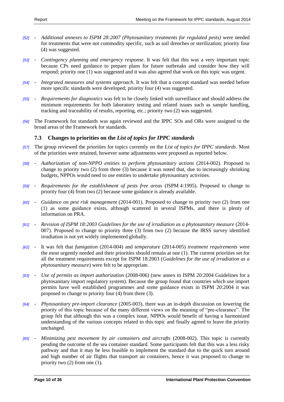- *[52] Additional annexes to ISPM 28:2007 (Phytosanitary treatments for regulated pests)* were needed for treatments that were not commodity specific, such as soil drenches or sterilization; priority four (4) was suggested.
- *[53] Contingency planning and emergency response*. It was felt that this was a very important topic because CPs need guidance to prepare plans for future outbreaks and consider how they will respond; priority one (1) was suggested and it was also agreed that work on this topic was urgent.
- *[54] Integrated measures and systems approach*. It was felt that a concept standard was needed before more specific standards were developed; priority four (4) was suggested.
- *[55] Requirements for diagnostics* was felt to be closely linked with surveillance and should address the minimum requirements for both laboratory testing and related issues such as sample handling, tracking and traceability of results, reporting, etc.; priority two (2) was suggested.
- *[56]* The Framework for standards was again reviewed and the IPPC SOs and ORs were assigned to the broad areas of the Framework for standards.

## <span id="page-9-0"></span>**7.3 Changes to priorities on the** *List of topics for IPPC standards*

- *[57]* The group reviewed the priorities for topics currently on the *List of topics for IPPC standards*. Most of the priorities were retained, however some adjustments were proposed as reported below.
- *[58] Authorization of non-NPPO entities to perform phytosanitary actions* (2014-002). Proposed to change to priority two (2) from three (3) because it was noted that, due to increasingly shrinking budgets, NPPOs would need to use entities to undertake phytosanitary activities.
- *[59] Requirements for the establishment of pests free areas* (ISPM 4:1995). Proposed to change to priority four (4) from two (2) because some guidance is already available.
- *[60] Guidance on pest risk management* (2014-001). Proposed to change to priority two (2) from one (1) as some guidance exists, although scattered in several ISPMs, and there is plenty of information on PRA.
- *[61] Revision of ISPM 18:2003 Guidelines for the use of irradiation as a phytosanitary measure* (2014- 007). Proposed to change to priority three (3) from two (2) because the IRSS survey identified irradiation is not yet widely implemented globally.
- *[62]* It was felt that *fumigation* (2014-004) and *temperature* (2014-005) *treatment requirements* were the most urgently needed and their priorities should remain at one (1). The current priorities set for all the treatment requirements except for ISPM 18:2003 (*Guidelines for the use of irradiation as a phytosanitary measure*) were felt to be appropriate.
- *[63] Use of permits as import authorization* (2008-006) (new annex to ISPM 20:2004 Guidelines for a phytosanitary import regulatory system). Because the group found that countries which use import permits have well established programmes and some guidance exists in ISPM 20:2004 it was proposed to change to priority four (4) from three (3).
- *[64] Phytosanitary pre-import clearance* (2005-003), there was an in-depth discussion on lowering the priority of this topic because of the many different views on the meaning of "pre-clearance". The group felt that although this was a complex issue, NPPOs would benefit of having a harmonized understanding of the various concepts related to this topic and finally agreed to leave the priority unchanged.
- *[65] Minimizing pest movement by air containers and aircrafts* (2008-002). This topic is currently pending the outcome of the sea container standard. Some participants felt that this was a less risky pathway and that it may be less feasible to implement the standard due to the quick turn around and high number of air flights that transport air containers, hence it was proposed to change to priority two (2) from one (1).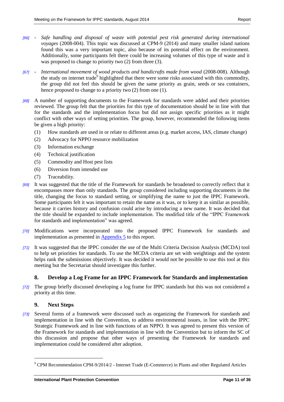- *[66] Safe handling and disposal of waste with potential pest risk generated during international voyages* (2008-004). This topic was discussed at CPM-9 (2014) and many smaller island nations found this was a very important topic, also because of its potential effect on the environment. Additionally, some participants felt there could be increasing volumes of this type of waste and it was proposed to change to priority two  $(2)$  from three  $(3)$ .
- *[67] International movement of wood products and handicrafts made from wood* (2008-008). Although the study on internet trade<sup>9</sup> highlighted that there were some risks associated with this commodity, the group did not feel this should be given the same priority as grain, seeds or sea containers, hence proposed to change to a priority two (2) from one (1).
- *[68]* A number of supporting documents to the Framework for standards were added and their priorities reviewed. The group felt that the priorities for this type of documentation should be in line with that for the standards and the implementation focus but did not assign specific priorities as it might conflict with other ways of setting priorities. The group, however, recommended the following items be given a high priority:
	- (1) How standards are used in or relate to different areas (e.g. market access, IAS, climate change)
	- (2) Advocacy for NPPO resource mobilization
	- (3) Information exchange
	- (4) Technical justification
	- (5) Commodity and Host pest lists
	- (6) Diversion from intended use
	- (7) Traceability.
- *[69]* It was suggested that the title of the Framework for standards be broadened to correctly reflect that it encompasses more than only standards. The group considered including supporting documents in the title, changing the focus to standard setting, or simplifying the name to just the IPPC Framework. Some participants felt it was important to retain the name as it was, or to keep it as similar as possible, because it carries history and confusion could arise by introducing a new name. It was decided that the title should be expanded to include implementation. The modified title of the "IPPC Framework for standards and implementation" was agreed.
- *[70]* Modifications were incorporated into the proposed IPPC Framework for standards and implementation as presented in **Appendix 5** to this report.
- *[71]* It was suggested that the IPPC consider the use of the Multi Criteria Decision Analysis (MCDA) tool to help set priorities for standards. To use the MCDA criteria are set with weightings and the system helps rank the submissions objectively. It was decided it would not be possible to use this tool at this meeting but the Secretariat should investigate this further.

## <span id="page-10-0"></span>**8. Develop a Log Frame for an IPPC Framework for Standards and implementation**

*[72]* The group briefly discussed developing a log frame for IPPC standards but this was not considered a priority at this time.

## <span id="page-10-1"></span>**9. Next Steps**

-

*[73]* Several forms of a framework were discussed such as organizing the Framework for standards and implementation in line with the Convention, to address environmental issues, in line with the IPPC Strategic Framework and in line with functions of an NPPO. It was agreed to present this version of the Framework for standards and implementation in line with the Convention but to inform the SC of this discussion and propose that other ways of presenting the Framework for standards and implementation could be considered after adoption.

<sup>9</sup> CPM Recommendation CPM-9/2014/2 - Internet Trade (E-Commerce) in Plants and other Regulated Articles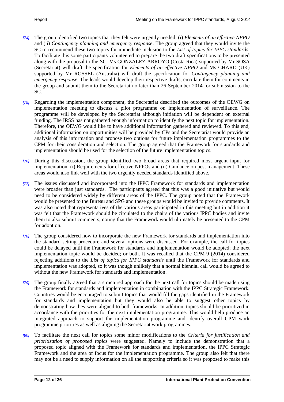- *[74]* The group identified two topics that they felt were urgently needed: (i) *Elements of an effective NPPO* and (ii) *Contingency planning and emergency response*. The group agreed that they would invite the SC to recommend these two topics for immediate inclusion to the *List of topics for IPPC standards*. To facilitate this some participants volunteered to prepare the two draft specifications to be presented along with the proposal to the SC. Ms GONZALEZ-ARROYO (Costa Rica) supported by Mr SOSA (Secretariat) will draft the specification for *Elements of an effective NPPO* and Ms CHARD (UK) supported by Mr ROSSEL (Australia) will draft the specification for *Contingency planning and emergency response*. The leads would develop their respective drafts, circulate them for comments in the group and submit them to the Secretariat no later than 26 September 2014 for submission to the SC.
- *[75]* Regarding the implementation component, the Secretariat described the outcomes of the OEWG on implementation meeting to discuss a pilot programme on implementation of surveillance. The programme will be developed by the Secretariat although initiation will be dependent on external funding. The IRSS has not gathered enough information to identify the next topic for implementation. Therefore, the OEWG would like to have additional information gathered and reviewed. To this end, additional information on opportunities will be provided by CPs and the Secretariat would provide an analysis of this information and propose two options for future implementation programmes to the CPM for their consideration and selection. The group agreed that the Framework for standards and implementation should be used for the selection of the future implementation topics.
- *[76]* During this discussion, the group identified two broad areas that required most urgent input for implementation: (i) Requirements for effective NPPOs and (ii) Guidance on pest management. These areas would also link well with the two urgently needed standards identified above.
- *[77]* The issues discussed and incorporated into the IPPC Framework for standards and implementation were broader than just standards. The participants agreed that this was a good initiative but would need to be considered widely by different areas of the IPPC. The group noted that the Framework would be presented to the Bureau and SPG and these groups would be invited to provide comments. It was also noted that representatives of the various areas participated in this meeting but in addition it was felt that the Framework should be circulated to the chairs of the various IPPC bodies and invite them to also submit comments, noting that the Framework would ultimately be presented to the CPM for adoption.
- *[78]* The group considered how to incorporate the new Framework for standards and implementation into the standard setting procedure and several options were discussed. For example, the call for topics could be delayed until the Framework for standards and implementation would be adopted; the next implementation topic would be decided; or both. It was recalled that the CPM-9 (2014) considered rejecting additions to the *List of topics for IPPC standards* until the Framework for standards and implementation was adopted, so it was though unlikely that a normal biennial call would be agreed to without the new Framework for standards and implementation.
- *[79]* The group finally agreed that a structured approach for the next call for topics should be made using the Framework for standards and implementation in combination with the IPPC Strategic Framework. Countries would be encouraged to submit topics that would fill the gaps identified in the Framework for standards and implementation but they would also be able to suggest other topics by demonstrating how they were aligned to both frameworks. In addition, topics should be prioritized in accordance with the priorities for the next implementation programme. This would help produce an integrated approach to support the implementation programme and identify overall CPM work programme priorities as well as aligning the Secretariat work programmes.
- *[80]* To facilitate the next call for topics some minor modifications to the *Criteria for justification and prioritization of proposed topics* were suggested. Namely to include the demonstration that a proposed topic aligned with the Framework for standards and implementation, the IPPC Strategic Framework and the area of focus for the implementation programme. The group also felt that there may not be a need to supply information on all the supporting criteria so it was proposed to make this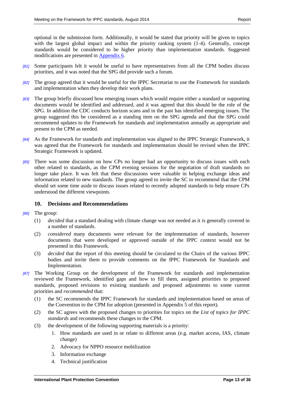optional in the submission form. Additionally, it would be stated that priority will be given to topics with the largest global impact and within the priority ranking system (1-4). Generally, concept standards would be considered to be higher priority than implementation standards. Suggested modifications are presented in [Appendix 6.](#page-34-0)

- *[81]* Some participants felt it would be useful to have representatives from all the CPM bodies discuss priorities, and it was noted that the SPG did provide such a forum.
- *[82]* The group agreed that it would be useful for the IPPC Secretariat to use the Framework for standards and implementation when they develop their work plans.
- *[83]* The group briefly discussed how emerging issues which would require either a standard or supporting documents would be identified and addressed, and it was agreed that this should be the role of the SPG. In addition the CDC conducts horizon scans and in the past has identified emerging issues. The group suggested this be considered as a standing item on the SPG agenda and that the SPG could recommend updates to the Framework for standards and implementation annually as appropriate and present to the CPM as needed.
- *[84]* As the Framework for standards and implementation was aligned to the IPPC Strategic Framework, it was agreed that the Framework for standards and implementation should be revised when the IPPC Strategic Framework is updated.
- *[85]* There was some discussion on how CPs no longer had an opportunity to discuss issues with each other related to standards, as the CPM evening sessions for the negotiation of draft standards no longer take place. It was felt that these discussions were valuable in helping exchange ideas and information related to new standards. The group agreed to invite the SC to recommend that the CPM should set some time aside to discuss issues related to recently adopted standards to help ensure CPs understood the different viewpoints.

### <span id="page-12-0"></span>**10. Decisions and Recommendations**

- *[86]* The group:
	- (1) *decided* that a standard dealing with climate change was not needed as it is generally covered in a number of standards.
	- (2) *considered* many documents were relevant for the implementation of standards, however documents that were developed or approved outside of the IPPC context would not be presented in this Framework.
	- (3) *decided* that the report of this meeting should be circulated to the Chairs of the various IPPC bodies and invite them to provide comments on the IPPC Framework for Standards and Implementation.
- *[87]* The Working Group on the development of the Framework for standards and implementation reviewed the Framework, identified gaps and how to fill them, assigned priorities to proposed standards, proposed revisions to existing standards and proposed adjustments to some current priorities and *recommended* that:
	- (1) the SC recommends the IPPC Framework for standards and implementation based on areas of the Convention to the CPM for adoption (presented in Appendix 5 of this report).
	- (2) the SC agrees with the proposed changes to priorities for topics on the *List of topics for IPPC standards* and recommends these changes to the CPM.
	- (3) the development of the following supporting materials is a priority:
		- 1. How standards are used in or relate to different areas (e.g. market access, IAS, climate change)
		- 2. Advocacy for NPPO resource mobilization
		- 3. Information exchange
		- 4. Technical justification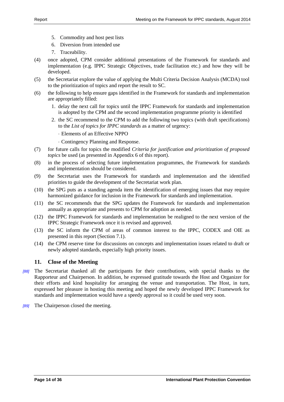- 5. Commodity and host pest lists
- 6. Diversion from intended use
- 7. Traceability.
- (4) once adopted, CPM consider additional presentations of the Framework for standards and implementation (e.g. IPPC Strategic Objectives, trade facilitation etc.) and how they will be developed.
- (5) the Secretariat explore the value of applying the Multi Criteria Decision Analysis (MCDA) tool to the prioritization of topics and report the result to SC.
- (6) the following to help ensure gaps identified in the Framework for standards and implementation are appropriately filled:
	- 1. delay the next call for topics until the IPPC Framework for standards and implementation is adopted by the CPM and the second implementation programme priority is identified
	- 2. the SC recommend to the CPM to add the following two topics (with draft specifications) to the *List of topics for IPPC standards* as a matter of urgency:
		- Elements of an Effective NPPO
		- Contingency Planning and Response.
- (7) for future calls for topics the modified *Criteria for justification and prioritization of proposed topics* be used (as presented in Appendix 6 of this report).
- (8) in the process of selecting future implementation programmes, the Framework for standards and implementation should be considered.
- (9) the Secretariat uses the Framework for standards and implementation and the identified priorities to guide the development of the Secretariat work plan.
- (10) the SPG puts as a standing agenda item the identification of emerging issues that may require harmonized guidance for inclusion in the Framework for standards and implementation.
- (11) the SC recommends that the SPG updates the Framework for standards and implementation annually as appropriate and presents to CPM for adoption as needed.
- (12) the IPPC Framework for standards and implementation be realigned to the next version of the IPPC Strategic Framework once it is revised and approved.
- (13) the SC inform the CPM of areas of common interest to the IPPC, CODEX and OIE as presented in this report (Section 7.1).
- (14) the CPM reserve time for discussions on concepts and implementation issues related to draft or newly adopted standards, especially high priority issues.

## <span id="page-13-0"></span>**11. Close of the Meeting**

- *[88]* The Secretariat thanked all the participants for their contributions, with special thanks to the Rapporteur and Chairperson. In addition, he expressed gratitude towards the Host and Organizer for their efforts and kind hospitality for arranging the venue and transportation. The Host, in turn, expressed her pleasure in hosting this meeting and hoped the newly developed IPPC Framework for standards and implementation would have a speedy approval so it could be used very soon.
- *[89]* The Chairperson closed the meeting.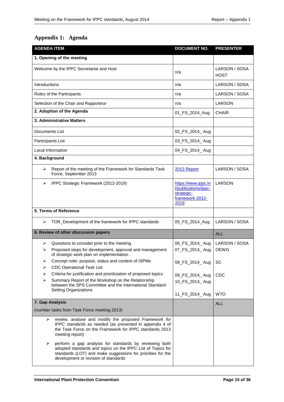# <span id="page-14-0"></span>**Appendix 1: Agenda**

| <b>AGENDA ITEM</b> |                                                                                                                                                                                                                              | <b>DOCUMENT NO.</b>                                                                  | <b>PRESENTER</b>             |
|--------------------|------------------------------------------------------------------------------------------------------------------------------------------------------------------------------------------------------------------------------|--------------------------------------------------------------------------------------|------------------------------|
|                    | 1. Opening of the meeting                                                                                                                                                                                                    |                                                                                      |                              |
|                    | Welcome by the IPPC Secretariat and Host                                                                                                                                                                                     | n/a                                                                                  | LARSON / SOSA<br><b>HOST</b> |
| Introductions      |                                                                                                                                                                                                                              | n/a                                                                                  | LARSON / SOSA                |
|                    | Roles of the Participants                                                                                                                                                                                                    | n/a                                                                                  | LARSON / SOSA                |
|                    | Selection of the Chair and Rapporteur                                                                                                                                                                                        | n/a                                                                                  | LARSON                       |
|                    | 2. Adoption of the Agenda                                                                                                                                                                                                    | 01_FS_2014_Aug                                                                       | <b>CHAIR</b>                 |
|                    | 3. Administrative Matters                                                                                                                                                                                                    |                                                                                      |                              |
|                    | Documents List                                                                                                                                                                                                               | 02_FS_2014_ Aug                                                                      |                              |
|                    | Participants List                                                                                                                                                                                                            | 03_FS_2014_ Aug                                                                      |                              |
|                    | Local Information                                                                                                                                                                                                            | 04_FS_2014_ Aug                                                                      |                              |
| 4. Background      |                                                                                                                                                                                                                              |                                                                                      |                              |
| ⋗                  | Report of the meeting of the Framework for Standards Task<br>Force, September 2013                                                                                                                                           | 2013 Report                                                                          | LARSON / SOSA                |
| ≻                  | IPPC Strategic Framework (2012-2019)                                                                                                                                                                                         | https://www.ippc.in<br>t/publications/ippc-<br>strategic-<br>framework-2012-<br>2019 | <b>LARSON</b>                |
|                    | 5. Terms of Reference                                                                                                                                                                                                        |                                                                                      |                              |
| ⋗                  | TOR_Development of the framework for IPPC standards                                                                                                                                                                          | 05_FS_2014_Aug                                                                       | LARSON / SOSA                |
|                    | 6. Review of other discussion papers                                                                                                                                                                                         |                                                                                      | <b>ALL</b>                   |
| ⋗<br>⋗             | Questions to consider prior to the meeting<br>Proposed steps for development, approval and management<br>of strategic work plan on implementation                                                                            | 06_FS_2014_ Aug<br>07_FS_2014_ Aug                                                   | LARSON / SOSA<br><b>OEWG</b> |
| ➤<br>⋗             | Concept note: purpose, status and content of ISPMs<br><b>CDC Operational Task List</b>                                                                                                                                       | 08_FS_2014_ Aug                                                                      | SC                           |
| ➤<br>⋗             | Criteria for justification and prioritization of proposed topics<br>Summary Report of the Workshop on the Relationship<br>between the SPS Committee and the International Standard-<br><b>Setting Organizations</b>          | 09_FS_2014_ Aug<br>10_FS_2014_ Aug                                                   | <b>CDC</b>                   |
|                    | 7. Gap Analysis                                                                                                                                                                                                              | 11 FS 2014 Aug                                                                       | <b>WTO</b>                   |
|                    | (number tasks from Task Force meeting 2013)                                                                                                                                                                                  |                                                                                      | <b>ALL</b>                   |
| ➤                  | review, analyse and modify the proposed Framework for<br>IPPC standards as needed (as presented in appendix 4 of<br>the Task Force on the Framework for IPPC standards 2013<br>meeting report)                               |                                                                                      |                              |
| ➤                  | perform a gap analysis for standards by reviewing both<br>adopted standards and topics on the IPPC List of Topics for<br>standards (LOT) and make suggestions for priorities for the<br>development or revision of standards |                                                                                      |                              |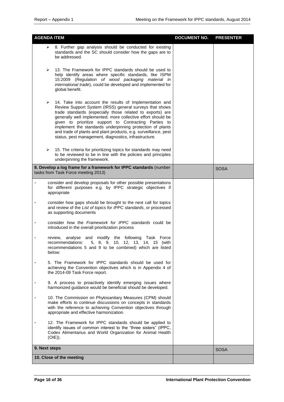| <b>AGENDA ITEM</b>                                                                                                                                                                                                                                                                                                                                                                                                                                                                                     | <b>DOCUMENT NO.</b> | <b>PRESENTER</b> |
|--------------------------------------------------------------------------------------------------------------------------------------------------------------------------------------------------------------------------------------------------------------------------------------------------------------------------------------------------------------------------------------------------------------------------------------------------------------------------------------------------------|---------------------|------------------|
| 8. Further gap analysis should be conducted for existing<br>➤<br>standards and the SC should consider how the gaps are to<br>be addressed.                                                                                                                                                                                                                                                                                                                                                             |                     |                  |
| 13. The Framework for IPPC standards should be used to<br>➤<br>help identify areas where specific standards, like ISPM<br>15:2009 (Regulation of wood packaging material in<br>international trade), could be developed and implemented for<br>global benefit.                                                                                                                                                                                                                                         |                     |                  |
| ➤<br>14. Take into account the results of Implementation and<br>Review Support System (IRSS) general surveys that shows<br>trade standards (especially those related to exports) are<br>generally well implemented; more collective effort should be<br>given to prioritize support to Contracting Parties to<br>implement the standards underpinning protection of plants<br>and trade of plants and plant products, e.g. surveillance, pest<br>status, pest management, diagnostics, infrastructure. |                     |                  |
| 15. The criteria for prioritizing topics for standards may need<br>➤<br>to be reviewed to be in line with the policies and principles<br>underpinning the framework.                                                                                                                                                                                                                                                                                                                                   |                     |                  |
| 8. Develop a log frame for a framework for IPPC standards (number<br>tasks from Task Force meeting 2013)                                                                                                                                                                                                                                                                                                                                                                                               |                     | <b>SOSA</b>      |
| consider and develop proposals for other possible presentations<br>for different purposes e.g. by IPPC strategic objectives if<br>appropriate                                                                                                                                                                                                                                                                                                                                                          |                     |                  |
| consider how gaps should be brought to the next call for topics<br>and review of the List of topics for IPPC standards, or processed<br>as supporting documents                                                                                                                                                                                                                                                                                                                                        |                     |                  |
| consider how the Framework for IPPC standards could be<br>introduced in the overall prioritization process                                                                                                                                                                                                                                                                                                                                                                                             |                     |                  |
| review, analyse and modify the following Task Force<br>recommendations:<br>5, 8, 9, 10, 12, 13, 14, 15 (with<br>recommendations 5 and 9 to be combined) which are listed<br>below:                                                                                                                                                                                                                                                                                                                     |                     |                  |
| 5. The Framework for IPPC standards should be used for<br>achieving the Convention objectives which is in Appendix 4 of<br>the 2014-09 Task Force report.                                                                                                                                                                                                                                                                                                                                              |                     |                  |
| 9. A process to proactively identify emerging issues where<br>harmonized guidance would be beneficial should be developed.                                                                                                                                                                                                                                                                                                                                                                             |                     |                  |
| 10. The Commission on Phytosanitary Measures (CPM) should<br>make efforts to continue discussions on concepts in standards<br>with the reference to achieving Convention objectives through<br>appropriate and effective harmonization.                                                                                                                                                                                                                                                                |                     |                  |
| 12. The Framework for IPPC standards should be applied to<br>identify issues of common interest to the "three sisters" (IPPC,<br>Codex Alimentarius and World Organization for Animal Health<br>$(OIE)$ ).                                                                                                                                                                                                                                                                                             |                     |                  |
| 9. Next steps                                                                                                                                                                                                                                                                                                                                                                                                                                                                                          |                     | <b>SOSA</b>      |
| 10. Close of the meeting                                                                                                                                                                                                                                                                                                                                                                                                                                                                               |                     |                  |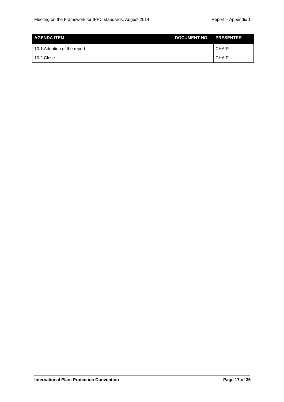| I AGENDA ITEM               | DOCUMENT NO. PRESENTER |              |
|-----------------------------|------------------------|--------------|
| 10.1 Adoption of the report |                        | <b>CHAIR</b> |
| 10.2 Close                  |                        | <b>CHAIR</b> |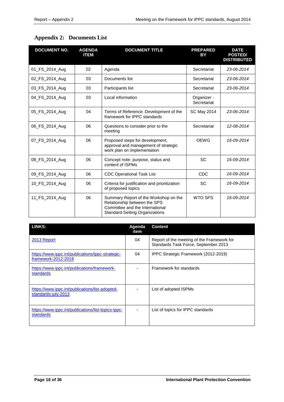# <span id="page-17-0"></span>**Appendix 2: Documents List**

| <b>DOCUMENT NO.</b> | <b>AGENDA</b><br><b>ITEM</b> | <b>DOCUMENT TITLE</b>                                                                                                                             | <b>PREPARED</b><br>BY      | <b>DATE</b><br><b>POSTED/</b><br><b>DISTRIBUTED</b> |
|---------------------|------------------------------|---------------------------------------------------------------------------------------------------------------------------------------------------|----------------------------|-----------------------------------------------------|
| 01_FS_2014_Aug      | 02                           | Agenda                                                                                                                                            | Secretariat                | 23-06-2014                                          |
| 02_FS_2014_Aug      | 03                           | Documents list                                                                                                                                    | Secretariat                | 23-06-2014                                          |
| 03_FS_2014_Aug      | 03                           | Participants list                                                                                                                                 | Secretariat                | 23-06-2014                                          |
| 04_FS_2014_Aug      | 03                           | Local information                                                                                                                                 | Organizer -<br>Secretariat |                                                     |
| 05 FS 2014 Aug      | 04                           | Terms of Reference: Development of the<br>framework for IPPC standards                                                                            | <b>SC May 2014</b>         | 23-06-2014                                          |
| 06_FS_2014_Aug      | 06                           | Questions to consider prior to the<br>meeting                                                                                                     | Secretariat                | 12-08-2014                                          |
| 07 FS 2014 Aug      | 06                           | Proposed steps for development,<br>approval and management of strategic<br>work plan on implementation                                            | <b>OEWG</b>                | 16-09-2014                                          |
| 08_FS_2014_Aug      | 06                           | Concept note: purpose, status and<br>content of ISPMs                                                                                             | SC                         | 16-09-2014                                          |
| 09_FS_2014_Aug      | 06                           | <b>CDC Operational Task List</b>                                                                                                                  | <b>CDC</b>                 | 16-09-2014                                          |
| 10_FS_2014_Aug      | 06                           | Criteria for justification and prioritization<br>of proposed topics                                                                               | SC                         | 16-09-2014                                          |
| 11 FS 2014 Aug      | 06                           | Summary Report of the Workshop on the<br>Relationship between the SPS<br>Committee and the International<br><b>Standard-Setting Organizations</b> | <b>WTO SPS</b>             | 16-09-2014                                          |

| <b>LINKS:</b>                                                            | Agenda<br>item | Content                                                                            |
|--------------------------------------------------------------------------|----------------|------------------------------------------------------------------------------------|
| 2013 Report                                                              | 04             | Report of the meeting of the Framework for<br>Standards Task Force, September 2013 |
| https://www.ippc.int/publications/ippc-strategic-<br>framework-2012-2019 | 04             | IPPC Strategic Framework (2012-2019)                                               |
| https://www.ippc.int/publications/framework-<br>standards                |                | Framework for standards                                                            |
| https://www.ippc.int/publications/list-adopted-<br>standards-july-2013   |                | List of adopted ISPMs                                                              |
| https://www.ippc.int/publications/list-topics-ippc-<br>standards         |                | List of topics for IPPC standards                                                  |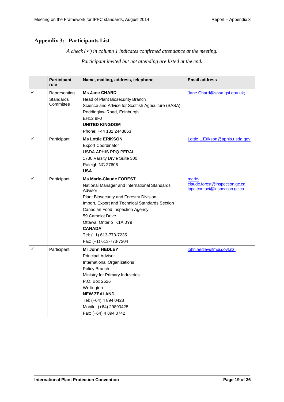## <span id="page-18-0"></span>**Appendix 3: Participants List**

*A check*  $(\check{\mathcal{V}})$  *in column 1 indicates confirmed attendance at the meeting. Participant invited but not attending are listed at the end.*

|              | <b>Participant</b><br>role    | Name, mailing, address, telephone                       | <b>Email address</b>                                             |
|--------------|-------------------------------|---------------------------------------------------------|------------------------------------------------------------------|
| $\checkmark$ | Representing                  | <b>Ms Jane CHARD</b>                                    | Jane.Chard@sasa.gsi.gov.uk;                                      |
|              | <b>Standards</b><br>Committee | Head of Plant Biosecurity Branch                        |                                                                  |
|              |                               | Science and Advice for Scottish Agriculture (SASA)      |                                                                  |
|              |                               | Roddinglaw Road, Edinburgh                              |                                                                  |
|              |                               | <b>EH12 9FJ</b>                                         |                                                                  |
|              |                               | <b>UNITED KINGDOM</b>                                   |                                                                  |
|              |                               | Phone: +44 131 2448863                                  |                                                                  |
| $\checkmark$ | Participant                   | <b>Ms Lottie ERIKSON</b>                                | Lottie.L.Erikson@aphis.usda.gov                                  |
|              |                               | <b>Export Coordinator</b>                               |                                                                  |
|              |                               | USDA APHIS PPQ PERAL                                    |                                                                  |
|              |                               | 1730 Varsity Drvie Suite 300                            |                                                                  |
|              |                               | Raleigh NC 27606                                        |                                                                  |
|              |                               | <b>USA</b>                                              |                                                                  |
| ✓            | Participant                   | <b>Ms Marie-Claude FOREST</b>                           | marie-                                                           |
|              |                               | National Manager and International Standards<br>Advisor | claude.forest@inspection.gc.ca;<br>ippc-contact@inspection.gc.ca |
|              |                               | Plant Biosecurity and Forestry Division                 |                                                                  |
|              |                               | Import, Export and Technical Standards Section          |                                                                  |
|              |                               | Canadian Food Inspection Agency                         |                                                                  |
|              |                               | 59 Camelot Drive                                        |                                                                  |
|              |                               | Ottawa, Ontario K1A 0Y9                                 |                                                                  |
|              |                               | <b>CANADA</b>                                           |                                                                  |
|              |                               | Tel: (+1) 613-773-7235                                  |                                                                  |
|              |                               | Fax: (+1) 613-773-7204                                  |                                                                  |
| ✓            | Participant                   | <b>Mr John HEDLEY</b>                                   | john.hedley@mpi.govt.nz;                                         |
|              |                               | Principal Adviser                                       |                                                                  |
|              |                               | International Organizations                             |                                                                  |
|              |                               | Policy Branch                                           |                                                                  |
|              |                               | Ministry for Primary Industries                         |                                                                  |
|              |                               | P.O. Box 2526                                           |                                                                  |
|              |                               | Wellington                                              |                                                                  |
|              |                               | <b>NEW ZEALAND</b>                                      |                                                                  |
|              |                               | Tel: (+64) 4 894 0428                                   |                                                                  |
|              |                               | Mobile: (+64) 29890428                                  |                                                                  |
|              |                               | Fax: (+64) 4 894 0742                                   |                                                                  |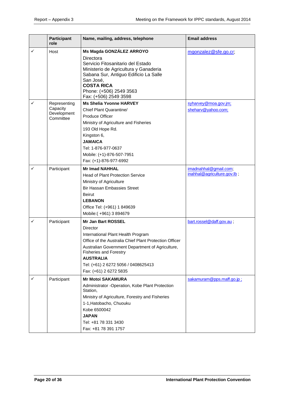|              | <b>Participant</b><br>role                           | Name, mailing, address, telephone                                                                                                                                                                                                                                                                               | <b>Email address</b>                                 |
|--------------|------------------------------------------------------|-----------------------------------------------------------------------------------------------------------------------------------------------------------------------------------------------------------------------------------------------------------------------------------------------------------------|------------------------------------------------------|
| ✓            | Host                                                 | Ms Magda GONZÁLEZ ARROYO<br>Directora<br>Servicio Fitosanitario del Estado<br>Ministerio de Agricultura y Ganaderia<br>Sabana Sur, Antiguo Edificio La Salle<br>San José,<br><b>COSTA RICA</b><br>Phone: (+506) 2549 3563<br>Fax: (+506) 2549 3598                                                              | mgonzalez@sfe.go.cr;                                 |
| $\checkmark$ | Representing<br>Capacity<br>Development<br>Committee | <b>Ms Shelia Yvonne HARVEY</b><br>Chief Plant Quarantine/<br>Produce Officer<br>Ministry of Agriculture and Fisheries<br>193 Old Hope Rd.<br>Kingston 6,<br><b>JAMAICA</b><br>Tel: 1-876-977-0637<br>Mobile: (+1)-876-507-7951<br>Fax: (+1)-876-977-6992                                                        | syharvey@moa.gov.jm;<br>sheharv@yahoo.com;           |
| ✓            | Participant                                          | <b>Mr Imad NAHHAL</b><br><b>Head of Plant Protection Service</b><br>Ministry of Agriculture<br><b>Bir Hassan Embassies Street</b><br>Beirut<br><b>LEBANON</b><br>Office Tel: (+961) 1 849639<br>Mobile:(+961) 3 894679                                                                                          | imadnahhal@gmail.com;<br>inahhal@agriculture.gov.lb; |
| $\checkmark$ | Participant                                          | <b>Mr Jan Bart ROSSEL</b><br>Director<br>International Plant Health Program<br>Office of the Australia Chief Plant Protection Officer<br>Australian Government Department of Agriculture,<br><b>Fisheries and Forestry</b><br><b>AUSTRALIA</b><br>Tel: (+61) 2 6272 5056 / 0408625413<br>Fax: (+61) 2 6272 5835 | bart.rossel@daff.gov.au;                             |
| ✓            | Participant                                          | <b>Mr Motoi SAKAMURA</b><br>Administrator -Operation, Kobe Plant Protection<br>Station,<br>Ministry of Agriculture, Forestry and Fisheries<br>1-1, Hatobacho, Chuouku<br>Kobe 6500042<br><b>JAPAN</b><br>Tel: +81 78 331 3430<br>Fax: +81 78 391 1757                                                           | sakamuram@pps.maff.go.jp;                            |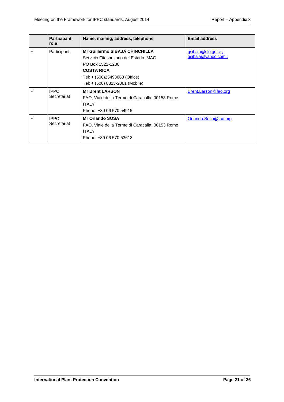|              | <b>Participant</b><br>role | Name, mailing, address, telephone                                                                                                                                                            | <b>Email address</b>                            |
|--------------|----------------------------|----------------------------------------------------------------------------------------------------------------------------------------------------------------------------------------------|-------------------------------------------------|
| ✓            | Participant                | <b>Mr Guillermo SIBAJA CHINCHILLA</b><br>Servicio Fitosanitario del Estado. MAG<br>PO Box 1521-1200<br><b>COSTA RICA</b><br>Tel: + (506)25493663 (Office)<br>Tel: + (506) 8813-2061 (Mobile) | gsibaja@sfe.go.cr;<br><u>qsibaja@yahoo.com;</u> |
| ✓            | <b>IPPC</b><br>Secretariat | <b>Mr Brent LARSON</b><br>FAO, Viale della Terme di Caracalla, 00153 Rome<br><b>ITALY</b><br>Phone: +39 06 570 54915                                                                         | Brent.Larson@fao.org                            |
| $\checkmark$ | <b>IPPC</b><br>Secretariat | <b>Mr Orlando SOSA</b><br>FAO, Viale della Terme di Caracalla, 00153 Rome<br><b>ITALY</b><br>Phone: +39 06 570 53613                                                                         | Orlando.Sosa@fao.org                            |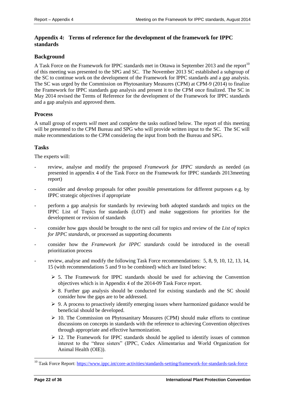## <span id="page-21-0"></span>**Appendix 4: Terms of reference for the development of the framework for IPPC standards**

## **Background**

A Task Force on the Framework for IPPC standards met in Ottawa in September 2013 and the report<sup>10</sup> of this meeting was presented to the SPG and SC. The November 2013 SC established a subgroup of the SC to continue work on the development of the Framework for IPPC standards and a gap analysis. The SC was urged by the Commission on Phytosanitary Measures (CPM) at CPM-9 (2014) to finalize the Framework for IPPC standards gap analysis and present it to the CPM once finalized. The SC in May 2014 revised the Terms of Reference for the development of the Framework for IPPC standards and a gap analysis and approved them.

## **Process**

A small group of experts *will* meet and complete the tasks outlined below. The report of this meeting will be presented to the CPM Bureau and SPG who will provide written input to the SC. The SC will make recommendations to the CPM considering the input from both the Bureau and SPG.

## **Tasks**

The experts will:

- review, analyse and modify the proposed *Framework for IPPC standards* as needed (as presented in appendix 4 of the Task Force on the Framework for IPPC standards 2013meeting report)
- consider and develop proposals for other possible presentations for different purposes e.g. by IPPC strategic objectives if appropriate
- perform a gap analysis for standards by reviewing both adopted standards and topics on the IPPC List of Topics for standards (LOT) and make suggestions for priorities for the development or revision of standards
- consider how gaps should be brought to the next call for topics and review of the *List of topics for IPPC standards*, or processed as supporting documents
- consider how the *Framework for IPPC standards* could be introduced in the overall prioritization process
- review, analyse and modify the following Task Force recommendations: 5, 8, 9, 10, 12, 13, 14, 15 (with recommendations 5 and 9 to be combined) which are listed below:
	- $\geq$  5. The Framework for IPPC standards should be used for achieving the Convention objectives which is in Appendix 4 of the 2014-09 Task Force report.
	- $\geq$  8. Further gap analysis should be conducted for existing standards and the SC should consider how the gaps are to be addressed.
	- $\triangleright$  9. A process to proactively identify emerging issues where harmonized guidance would be beneficial should be developed.
	- $\geq 10$ . The Commission on Phytosanitary Measures (CPM) should make efforts to continue discussions on concepts in standards with the reference to achieving Convention objectives through appropriate and effective harmonization.
	- $\geq 12$ . The Framework for IPPC standards should be applied to identify issues of common interest to the "three sisters" (IPPC, Codex Alimentarius and World Organization for Animal Health (OIE)).

-

<sup>&</sup>lt;sup>10</sup> Task Force Report[: https://www.ippc.int/core-activities/standards-setting/framework-for-standards-task-force](https://www.ippc.int/core-activities/standards-setting/framework-for-standards-task-force)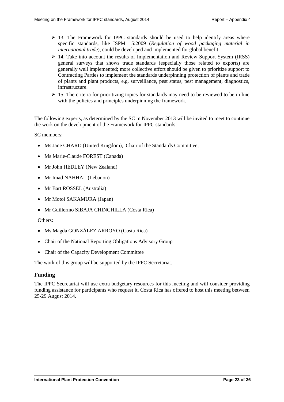- $\geq$  13. The Framework for IPPC standards should be used to help identify areas where specific standards, like ISPM 15:2009 (*Regulation of wood packaging material in international trade*), could be developed and implemented for global benefit.
- $\triangleright$  14. Take into account the results of Implementation and Review Support System (IRSS) general surveys that shows trade standards (especially those related to exports) are generally well implemented; more collective effort should be given to prioritize support to Contracting Parties to implement the standards underpinning protection of plants and trade of plants and plant products, e.g. surveillance, pest status, pest management, diagnostics, infrastructure.
- $\geq$  15. The criteria for prioritizing topics for standards may need to be reviewed to be in line with the policies and principles underpinning the framework.

The following experts, as determined by the SC in November 2013 will be invited to meet to continue the work on the development of the Framework for IPPC standards:

SC members:

- Ms Jane CHARD (United Kingdom), Chair of the Standards Committee,
- Ms Marie-Claude FOREST (Canada)
- Mr John HEDLEY (New Zealand)
- Mr Imad NAHHAL (Lebanon)
- Mr Bart ROSSEL (Australia)
- Mr Motoi SAKAMURA (Japan)
- Mr Guillermo SIBAJA CHINCHILLA (Costa Rica)

#### Others:

- Ms Magda GONZÁLEZ ARROYO (Costa Rica)
- Chair of the National Reporting Obligations Advisory Group
- Chair of the Capacity Development Committee

The work of this group will be supported by the IPPC Secretariat.

#### **Funding**

The IPPC Secretariat will use extra budgetary resources for this meeting and will consider providing funding assistance for participants who request it. Costa Rica has offered to host this meeting between 25-29 August 2014.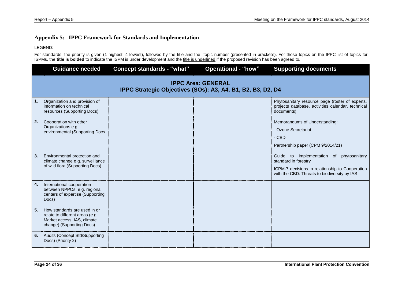## **Appendix 5: IPPC Framework for Standards and Implementation**

LEGEND:

For standards, the priority is given (1 highest, 4 lowest), followed by the title and the topic number (presented in brackets). For those topics on the IPPC list of topics for ISPMs, the **title is bolded** to indicate the ISPM is under development and the title is underlined if the proposed revision has been agreed to.

<span id="page-23-0"></span>

|    | <b>Guidance needed</b>                                                                                                      | <b>Concept standards - "what"</b> | <b>Operational - "how"</b> | <b>Supporting documents</b>                                                                                                                                            |  |  |
|----|-----------------------------------------------------------------------------------------------------------------------------|-----------------------------------|----------------------------|------------------------------------------------------------------------------------------------------------------------------------------------------------------------|--|--|
|    | <b>IPPC Area: GENERAL</b><br>IPPC Strategic Objectives (SOs): A3, A4, B1, B2, B3, D2, D4                                    |                                   |                            |                                                                                                                                                                        |  |  |
| 1. | Organization and provision of<br>information on technical<br>resources (Supporting Docs)                                    |                                   |                            | Phytosanitary resource page (roster of experts,<br>projects database, activities calendar, technical<br>documents)                                                     |  |  |
| 2. | Cooperation with other<br>Organizations e.g.<br>environmental (Supporting Docs                                              |                                   |                            | Memorandums of Understanding:<br>- Ozone Secretariat<br>- CBD<br>Partnership paper (CPM 9/2014/21)                                                                     |  |  |
| 3. | Environmental protection and<br>climate change e.g. surveillance<br>of wild flora (Supporting Docs)                         |                                   |                            | Guide to implementation of<br>phytosanitary<br>standard in forestry<br>ICPM-7 decisions in relationship to Cooperation<br>with the CBD: Threats to biodiversity by IAS |  |  |
| 4. | International cooperation<br>between NPPOs: e.g. regional<br>centers of expertise (Supporting<br>Docs)                      |                                   |                            |                                                                                                                                                                        |  |  |
| 5. | How standards are used in or<br>relate to different areas (e.g.<br>Market access, IAS, climate<br>change) (Supporting Docs) |                                   |                            |                                                                                                                                                                        |  |  |
| 6. | <b>Audits (Concept Std/Supporting</b><br>Docs) (Priority 2)                                                                 |                                   |                            |                                                                                                                                                                        |  |  |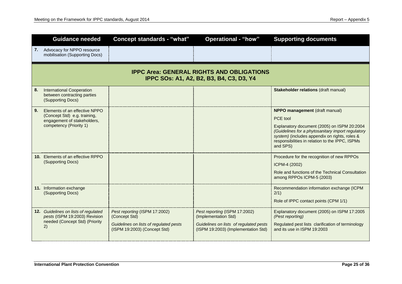|    | <b>Guidance needed</b>                                                                                                  | <b>Concept standards - "what"</b>                                                                                        | <b>Operational - "how"</b>                                                                                                             | <b>Supporting documents</b>                                                                                                                                                                                                                                    |  |  |
|----|-------------------------------------------------------------------------------------------------------------------------|--------------------------------------------------------------------------------------------------------------------------|----------------------------------------------------------------------------------------------------------------------------------------|----------------------------------------------------------------------------------------------------------------------------------------------------------------------------------------------------------------------------------------------------------------|--|--|
|    | 7. Advocacy for NPPO resource<br>mobilisation (Supporting Docs)                                                         |                                                                                                                          |                                                                                                                                        |                                                                                                                                                                                                                                                                |  |  |
|    | <b>IPPC Area: GENERAL RIGHTS AND OBLIGATIONS</b><br>IPPC SOs: A1, A2, B2, B3, B4, C3, D3, Y4                            |                                                                                                                          |                                                                                                                                        |                                                                                                                                                                                                                                                                |  |  |
| 8. | <b>International Cooperation</b><br>between contracting parties<br>(Supporting Docs)                                    |                                                                                                                          |                                                                                                                                        | Stakeholder relations (draft manual)                                                                                                                                                                                                                           |  |  |
| 9. | Elements of an effective NPPO<br>(Concept Std) e.g. training,<br>engagement of stakeholders,<br>competency (Priority 1) |                                                                                                                          |                                                                                                                                        | NPPO management (draft manual)<br>PCE tool<br>Explanatory document (2005) on ISPM 20:2004<br>(Guidelines for a phytosanitary import regulatory<br>system) (includes appendix on rights, roles &<br>responsibilities in relation to the IPPC, ISPMs<br>and SPS) |  |  |
|    | 10. Elements of an effective RPPO<br>(Supporting Docs)                                                                  |                                                                                                                          |                                                                                                                                        | Procedure for the recognition of new RPPOs<br>ICPM-4 (2002)<br>Role and functions of the Technical Consultation<br>among RPPOs ICPM-5 (2003)                                                                                                                   |  |  |
|    | 11. Information exchange<br>(Supporting Docs)                                                                           |                                                                                                                          |                                                                                                                                        | Recommendation information exchange (ICPM<br>2/1)<br>Role of IPPC contact points (CPM 1/1)                                                                                                                                                                     |  |  |
|    | 12. Guidelines on lists of regulated<br>pests (ISPM 19:2003) Revision<br>needed (Concept Std) (Priority<br>2)           | Pest reporting (ISPM 17:2002)<br>(Concept Std)<br>Guidelines on lists of regulated pests<br>(ISPM 19:2003) (Concept Std) | Pest reporting (ISPM 17:2002)<br>(Implementation Std)<br>Guidelines on lists of regulated pests<br>(ISPM 19:2003) (Implementation Std) | Explanatory document (2005) on ISPM 17:2005<br>(Pest reporting)<br>Regulated pest lists clarification of terminology<br>and its use in ISPM 19:2003                                                                                                            |  |  |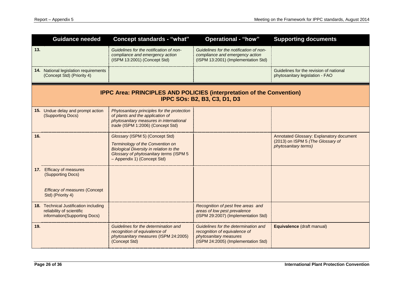| <b>Guidance needed</b>                                                                                              | <b>Concept standards - "what"</b>                                                                                                                                                               | <b>Operational - "how"</b>                                                                                                             | <b>Supporting documents</b>                                                                           |  |
|---------------------------------------------------------------------------------------------------------------------|-------------------------------------------------------------------------------------------------------------------------------------------------------------------------------------------------|----------------------------------------------------------------------------------------------------------------------------------------|-------------------------------------------------------------------------------------------------------|--|
| 13.                                                                                                                 | Guidelines for the notification of non-<br>compliance and emergency action<br>(ISPM 13:2001) (Concept Std)                                                                                      | Guidelines for the notification of non-<br>compliance and emergency action<br>(ISPM 13:2001) (Implementation Std)                      |                                                                                                       |  |
| 14. National legislation requirements<br>(Concept Std) (Priority 4)                                                 |                                                                                                                                                                                                 |                                                                                                                                        | Guidelines for the revision of national<br>phytosanitary legislation - FAO                            |  |
| <b>IPPC Area: PRINCIPLES AND POLICIES (interpretation of the Convention)</b><br><b>IPPC SOs: B2, B3, C3, D1, D3</b> |                                                                                                                                                                                                 |                                                                                                                                        |                                                                                                       |  |
| 15. Undue delay and prompt action<br>(Supporting Docs)                                                              | Phytosanitary principles for the protection<br>of plants and the application of<br>phytosanitary measures in international<br>trade (ISPM 1:2006) (Concept Std)                                 |                                                                                                                                        |                                                                                                       |  |
| 16.                                                                                                                 | Glossary (ISPM 5) (Concept Std)<br>Terminology of the Convention on<br><b>Biological Diversity in relation to the</b><br>Glossary of phytosanitary terms (ISPM 5<br>- Appendix 1) (Concept Std) |                                                                                                                                        | Annotated Glossary: Explanatory document<br>(2013) on ISPM 5 (The Glossary of<br>phytosanitary terms) |  |
| 17. Efficacy of measures<br>(Supporting Docs)<br><b>Efficacy of measures (Concept</b><br>Std) (Priority 4)          |                                                                                                                                                                                                 |                                                                                                                                        |                                                                                                       |  |
| 18. Technical Justification including<br>reliability of scientific<br>information(Supporting Docs)                  |                                                                                                                                                                                                 | Recognition of pest free areas and<br>areas of low pest prevalence<br>(ISPM 29:2007) (Implementation Std)                              |                                                                                                       |  |
| 19.                                                                                                                 | Guidelines for the determination and<br>recognition of equivalence of<br>phytosanitary measures (ISPM 24:2005)<br>(Concept Std)                                                                 | Guidelines for the determination and<br>recognition of equivalence of<br>phytosanitary measures<br>(ISPM 24:2005) (Implementation Std) | Equivalence (draft manual)                                                                            |  |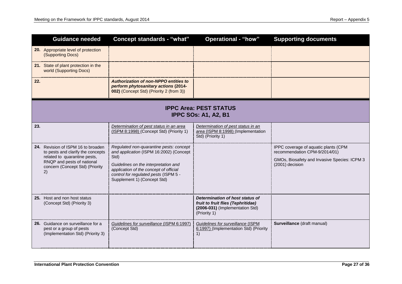|     | <b>Guidance needed</b>                                                                                                                                                         | <b>Concept standards - "what"</b>                                                                                                                                                                                                                    | <b>Operational - "how"</b>                                                                                               | <b>Supporting documents</b>                                                                                                              |  |
|-----|--------------------------------------------------------------------------------------------------------------------------------------------------------------------------------|------------------------------------------------------------------------------------------------------------------------------------------------------------------------------------------------------------------------------------------------------|--------------------------------------------------------------------------------------------------------------------------|------------------------------------------------------------------------------------------------------------------------------------------|--|
|     | 20. Appropriate level of protection<br>(Supporting Docs)                                                                                                                       |                                                                                                                                                                                                                                                      |                                                                                                                          |                                                                                                                                          |  |
|     | 21. State of plant protection in the<br>world (Supporting Docs)                                                                                                                |                                                                                                                                                                                                                                                      |                                                                                                                          |                                                                                                                                          |  |
| 22. |                                                                                                                                                                                | Authorization of non-NPPO entities to<br>perform phytosanitary actions (2014-<br>002) (Concept Std) (Priority 2 (from 3))                                                                                                                            |                                                                                                                          |                                                                                                                                          |  |
|     | <b>IPPC Area: PEST STATUS</b><br><b>IPPC SOs: A1, A2, B1</b>                                                                                                                   |                                                                                                                                                                                                                                                      |                                                                                                                          |                                                                                                                                          |  |
| 23. |                                                                                                                                                                                | Determination of pest status in an area<br>(ISPM 8:1998) (Concept Std) (Priority 1)                                                                                                                                                                  | Determination of pest status in an<br>area (ISPM 8:1998) (Implementation<br>Std) (Priority 1)                            |                                                                                                                                          |  |
|     | 24. Revision of ISPM 16 to broaden<br>to pests and clarify the concepts<br>related to quarantine pests,<br>RNQP and pests of national<br>concern (Concept Std) (Priority<br>2) | Regulated non-quarantine pests: concept<br>and application (ISPM 16:2002) (Concept<br>Std)<br>Guidelines on the interpretation and<br>application of the concept of official<br>control for regulated pests (ISPM 5 -<br>Supplement 1) (Concept Std) |                                                                                                                          | IPPC coverage of aquatic plants (CPM<br>recommendation CPM-9/2014/01)<br>GMOs, Biosafety and Invasive Species: ICPM 3<br>(2001) decision |  |
|     | 25. Host and non host status<br>(Concept Std) (Priority 3)                                                                                                                     |                                                                                                                                                                                                                                                      | Determination of host status of<br>fruit to fruit flies (Tephritidae)<br>(2006-031) (Implementation Std)<br>(Priority 1) |                                                                                                                                          |  |
|     | 26. Guidance on surveillance for a<br>pest or a group of pests<br>(Implementation Std) (Priority 3)                                                                            | Guidelines for surveillance (ISPM 6:1997)<br>(Concept Std)                                                                                                                                                                                           | Guidelines for surveillance (ISPM<br>6:1997) (Implementation Std) (Priority<br>1)                                        | Surveillance (draft manual)                                                                                                              |  |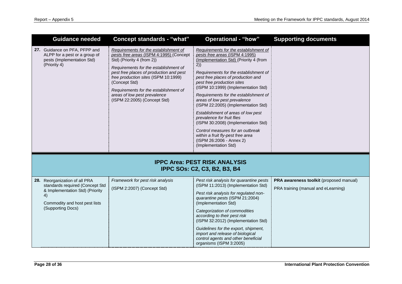| <b>Guidance needed</b>                                                                                                                                          | <b>Concept standards - "what"</b>                                                                                                                                                                                                                                                                                                                                    | <b>Operational - "how"</b>                                                                                                                                                                                                                                                                                                                                                                                                                                                                                                                                                                                                          | <b>Supporting documents</b>                                                    |
|-----------------------------------------------------------------------------------------------------------------------------------------------------------------|----------------------------------------------------------------------------------------------------------------------------------------------------------------------------------------------------------------------------------------------------------------------------------------------------------------------------------------------------------------------|-------------------------------------------------------------------------------------------------------------------------------------------------------------------------------------------------------------------------------------------------------------------------------------------------------------------------------------------------------------------------------------------------------------------------------------------------------------------------------------------------------------------------------------------------------------------------------------------------------------------------------------|--------------------------------------------------------------------------------|
| 27. Guidance on PFA, PFPP and<br>ALPP for a pest or a group of<br>pests (Implementation Std)<br>(Priority 4)                                                    | Requirements for the establishment of<br>pests free areas (ISPM 4:1995) (Concept<br>Std) (Priority 4 (from 2))<br>Requirements for the establishment of<br>pest free places of production and pest<br>free production sites (ISPM 10:1999)<br>(Concept Std)<br>Requirements for the establishment of<br>areas of low pest prevalence<br>(ISPM 22:2005) (Concept Std) | Requirements for the establishment of<br>pests free areas (ISPM 4:1995)<br>(Implementation Std) (Priority 4 (from<br>2)<br>Requirements for the establishment of<br>pest free places of production and<br>pest free production sites<br>(ISPM 10:1999) (Implementation Std)<br>Requirements for the establishment of<br>areas of low pest prevalence<br>(ISPM 22:2005) (Implementation Std)<br>Establishment of areas of low pest<br>prevalence for fruit flies<br>(ISPM 30:2008) (Implementation Std)<br>Control measures for an outbreak<br>within a fruit fly-pest free area<br>(ISPM 26:2006 - Annex 2)<br>(Implementation Std) |                                                                                |
|                                                                                                                                                                 |                                                                                                                                                                                                                                                                                                                                                                      | <b>IPPC Area: PEST RISK ANALYSIS</b><br><b>IPPC SOs: C2, C3, B2, B3, B4</b>                                                                                                                                                                                                                                                                                                                                                                                                                                                                                                                                                         |                                                                                |
| 28. Reorganization of all PRA<br>standards required (Concept Std<br>& Implementation Std) (Priority<br>4)<br>Commodity and host pest lists<br>(Supporting Docs) | Framework for pest risk analysis<br>(ISPM 2:2007) (Concept Std)                                                                                                                                                                                                                                                                                                      | Pest risk analysis for quarantine pests<br>(ISPM 11:2013) (Implementation Std)<br>Pest risk analysis for regulated non-<br>quarantine pests (ISPM 21:2004)<br>(Implementation Std)<br>Categorization of commodities<br>according to their pest risk<br>(ISPM 32:2012) (Implementation Std)<br>Guidelines for the export, shipment,<br>import and release of biological<br>control agents and other beneficial<br>organisms (ISPM 3:2005)                                                                                                                                                                                            | PRA awareness toolkit (proposed manual)<br>PRA training (manual and eLearning) |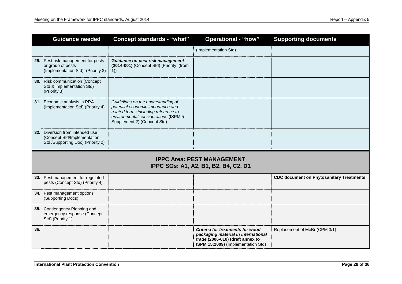|     | <b>Guidance needed</b>                                                                              | <b>Concept standards - "what"</b>                                                                                                                                                        | <b>Operational - "how"</b>                                                                                                                        | <b>Supporting documents</b>                     |  |
|-----|-----------------------------------------------------------------------------------------------------|------------------------------------------------------------------------------------------------------------------------------------------------------------------------------------------|---------------------------------------------------------------------------------------------------------------------------------------------------|-------------------------------------------------|--|
|     |                                                                                                     |                                                                                                                                                                                          | (Implementation Std)                                                                                                                              |                                                 |  |
|     | 29. Pest risk management for pests<br>or group of pests<br>(Implementation Std) (Priority 3)        | Guidance on pest risk management<br>(2014-001) (Concept Std) (Priority (from<br>1)                                                                                                       |                                                                                                                                                   |                                                 |  |
|     | 30. Risk communication (Concept<br>Std & Implementation Std)<br>(Priority 3)                        |                                                                                                                                                                                          |                                                                                                                                                   |                                                 |  |
|     | 31. Economic analysis in PRA<br>(Implementation Std) (Priority 4)                                   | Guidelines on the understanding of<br>potential economic importance and<br>related terms including reference to<br>environmental considerations (ISPM 5 -<br>Supplement 2) (Concept Std) |                                                                                                                                                   |                                                 |  |
|     | 32. Diversion from intended use<br>(Concept Std/Implementation<br>Std /Supporting Doc) (Priority 2) |                                                                                                                                                                                          |                                                                                                                                                   |                                                 |  |
|     | <b>IPPC Area: PEST MANAGEMENT</b><br>IPPC SOs: A1, A2, B1, B2, B4, C2, D1                           |                                                                                                                                                                                          |                                                                                                                                                   |                                                 |  |
|     | 33. Pest management for regulated<br>pests (Concept Std) (Priority 4)                               |                                                                                                                                                                                          |                                                                                                                                                   | <b>CDC document on Phytosanitary Treatments</b> |  |
|     | 34. Pest management options<br>(Supporting Docs)                                                    |                                                                                                                                                                                          |                                                                                                                                                   |                                                 |  |
|     | 35. Contiengency Planning and<br>emergency response (Concept<br>Std) (Priority 1)                   |                                                                                                                                                                                          |                                                                                                                                                   |                                                 |  |
| 36. |                                                                                                     |                                                                                                                                                                                          | Criteria for treatments for wood<br>packaging material in international<br>trade (2006-010) (draft annex to<br>ISPM 15:2009) (Implementation Std) | Replacement of MeBr (CPM 3/1)                   |  |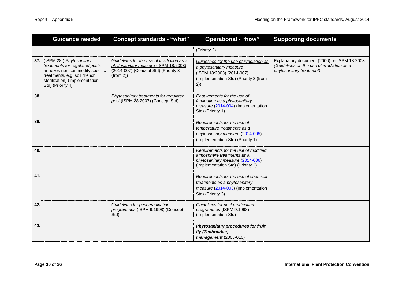| <b>Guidance needed</b>                                                                                                                                                                  | <b>Concept standards - "what"</b>                                                                                                      | <b>Operational - "how"</b>                                                                                                                       | <b>Supporting documents</b>                                                                                           |
|-----------------------------------------------------------------------------------------------------------------------------------------------------------------------------------------|----------------------------------------------------------------------------------------------------------------------------------------|--------------------------------------------------------------------------------------------------------------------------------------------------|-----------------------------------------------------------------------------------------------------------------------|
|                                                                                                                                                                                         |                                                                                                                                        | (Priority 2)                                                                                                                                     |                                                                                                                       |
| 37. (ISPM 28) Phytosanitary<br>treatments for regulated pests<br>annexes non commodity specific<br>treatments, e.g. soil drench,<br>sterilization) (Implementation<br>Std) (Priority 4) | Guidelines for the use of irradiation as a<br>phytosanitary measure (ISPM 18:2003)<br>(2014-007) (Concept Std) (Priority 3<br>(from 2) | Guidelines for the use of irradiation as<br>a phytosanitary measure<br>(ISPM 18:2003) (2014-007)<br>(Implementation Std) (Priority 3 (from<br>2) | Explanatory document (2006) on ISPM 18:2003<br>(Guidelines on the use of irradiation as a<br>phytosanitary treatment) |
| 38.                                                                                                                                                                                     | Phytosanitary treatments for regulated<br>pest (ISPM 28:2007) (Concept Std)                                                            | Requirements for the use of<br>fumigation as a phytosanitary<br>measure (2014-004) (Implementation<br>Std) (Priority 1)                          |                                                                                                                       |
| 39.                                                                                                                                                                                     |                                                                                                                                        | Requirements for the use of<br>temperature treatments as a<br>phytosanitary measure (2014-005)<br>(Implementation Std) (Priority 1)              |                                                                                                                       |
| 40.                                                                                                                                                                                     |                                                                                                                                        | Requirements for the use of modified<br>atmosphere treatments as a<br>phytosanitary measure (2014-006)<br>(Implementation Std) (Priority 2)      |                                                                                                                       |
| 41.                                                                                                                                                                                     |                                                                                                                                        | Requirements for the use of chemical<br>treatments as a phytosanitary<br>measure (2014-003) (Implementation<br>Std) (Priority 3)                 |                                                                                                                       |
| 42.                                                                                                                                                                                     | Guidelines for pest eradication<br>programmes (ISPM 9:1998) (Concept<br>Std)                                                           | Guidelines for pest eradication<br>programmes (ISPM 9:1998)<br>(Implementation Std)                                                              |                                                                                                                       |
| 43.                                                                                                                                                                                     |                                                                                                                                        | Phytosanitary procedures for fruit<br>fly (Tephritidae)<br>management (2005-010)                                                                 |                                                                                                                       |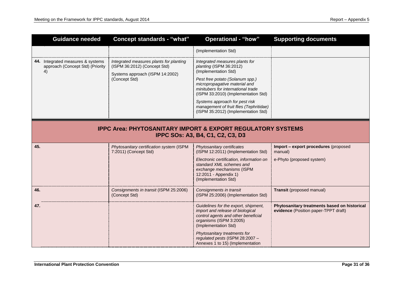| <b>Guidance needed</b>                                                                                            | <b>Concept standards - "what"</b>                                                                                           | <b>Operational - "how"</b>                                                                                                                                                                                                                                                                                                                             | <b>Supporting documents</b>                                                          |  |
|-------------------------------------------------------------------------------------------------------------------|-----------------------------------------------------------------------------------------------------------------------------|--------------------------------------------------------------------------------------------------------------------------------------------------------------------------------------------------------------------------------------------------------------------------------------------------------------------------------------------------------|--------------------------------------------------------------------------------------|--|
|                                                                                                                   |                                                                                                                             | (Implementation Std)                                                                                                                                                                                                                                                                                                                                   |                                                                                      |  |
| 44. Integrated measures & systems<br>approach (Concept Std) (Priority<br>4)                                       | Integrated measures plants for planting<br>(ISPM 36:2012) (Concept Std)<br>Systems approach (ISPM 14:2002)<br>(Concept Std) | Integrated measures plants for<br>planting (ISPM 36:2012)<br>(Implementation Std)<br>Pest free potato (Solanum spp.)<br>micropropagative material and<br>minitubers for international trade<br>(ISPM 33:2010) (Implementation Std)<br>Systems approach for pest risk<br>management of fruit flies (Tephritidae)<br>(ISPM 35:2012) (Implementation Std) |                                                                                      |  |
| <b>IPPC Area: PHYTOSANITARY IMPORT &amp; EXPORT REGULATORY SYSTEMS</b><br><b>IPPC SOs: A3, B4, C1, C2, C3, D3</b> |                                                                                                                             |                                                                                                                                                                                                                                                                                                                                                        |                                                                                      |  |
| 45.                                                                                                               | Phytosanitary certification system (ISPM<br>7:2011) (Concept Std)                                                           | Phytosanitary certificates<br>(ISPM 12:2011) (Implementation Std)                                                                                                                                                                                                                                                                                      | Import - export procedures (proposed<br>manual)                                      |  |
|                                                                                                                   |                                                                                                                             | Electronic certification, information on<br>standard XML schemes and<br>exchange mechanisms (ISPM<br>12:2011 - Appendix 1)<br>(Implementation Std)                                                                                                                                                                                                     | e-Phyto (proposed system)                                                            |  |
| 46.                                                                                                               | Consignments in transit (ISPM 25:2006)<br>(Concept Std)                                                                     | Consignments in transit<br>(ISPM 25:2006) (Implementation Std)                                                                                                                                                                                                                                                                                         | Transit (proposed manual)                                                            |  |
| 47.                                                                                                               |                                                                                                                             | Guidelines for the export, shipment,<br>import and release of biological<br>control agents and other beneficial<br>organisms (ISPM 3:2005)<br>(Implementation Std)<br>Phytosanitary treatments for                                                                                                                                                     | Phytosanitary treatments based on historical<br>evidence (Position paper-TPPT draft) |  |
|                                                                                                                   |                                                                                                                             | regulated pests (ISPM 28:2007 -<br>Annexes 1 to 15) (Implementation                                                                                                                                                                                                                                                                                    |                                                                                      |  |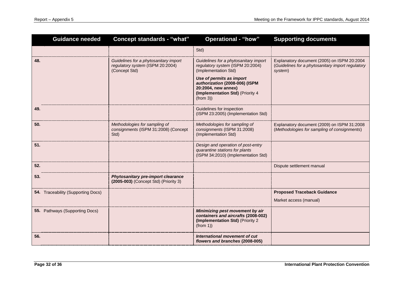| <b>Guidance needed</b>             | <b>Concept standards - "what"</b>                                                          | <b>Operational - "how"</b>                                                                                                                                      | <b>Supporting documents</b>                                                                                 |
|------------------------------------|--------------------------------------------------------------------------------------------|-----------------------------------------------------------------------------------------------------------------------------------------------------------------|-------------------------------------------------------------------------------------------------------------|
|                                    |                                                                                            | Std)                                                                                                                                                            |                                                                                                             |
| 48.                                | Guidelines for a phytosanitary import<br>regulatory system (ISPM 20:2004)<br>(Concept Std) | Guidelines for a phytosanitary import<br>regulatory system (ISPM 20:2004)<br>(Implementation Std)<br>Use of permits as import<br>authorization (2008-006) (ISPM | Explanatory document (2005) on ISPM 20:2004<br>(Guidelines for a phytosanitary import regulatory<br>system) |
|                                    |                                                                                            | 20:2004, new annex)<br>(Implementation Std) (Priority 4<br>(from 3)                                                                                             |                                                                                                             |
| 49.                                |                                                                                            | Guidelines for inspection<br>(ISPM 23:2005) (Implementation Std)                                                                                                |                                                                                                             |
| 50.                                | Methodologies for sampling of<br>consignments (ISPM 31:2008) (Concept<br>Std)              | Methodologies for sampling of<br>consignments (ISPM 31:2008)<br>(Implementation Std)                                                                            | Explanatory document (2009) on ISPM 31:2008<br>(Methodologies for sampling of consignments)                 |
| 51.                                |                                                                                            | Design and operation of post-entry<br>quarantine stations for plants<br>(ISPM 34:2010) (Implementation Std)                                                     |                                                                                                             |
| 52.                                |                                                                                            |                                                                                                                                                                 | Dispute settlement manual                                                                                   |
| 53.                                | Phytosanitary pre-import clearance<br>(2005-003) (Concept Std) (Priority 3)                |                                                                                                                                                                 |                                                                                                             |
| 54. Traceability (Supporting Docs) |                                                                                            |                                                                                                                                                                 | <b>Proposed Traceback Guidance</b>                                                                          |
|                                    |                                                                                            |                                                                                                                                                                 | Market access (manual)                                                                                      |
| 55. Pathways (Supporting Docs)     |                                                                                            | Minimizing pest movement by air<br>containers and aircrafts (2008-002)<br>(Implementation Std) (Priority 2<br>(from 1)                                          |                                                                                                             |
| 56.                                |                                                                                            | International movement of cut<br>flowers and branches (2008-005)                                                                                                |                                                                                                             |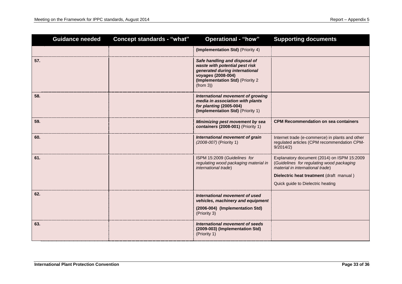| <b>Guidance needed</b> | <b>Concept standards - "what"</b> | <b>Operational - "how"</b>                                                                                                                                               | <b>Supporting documents</b>                                                                                                                                                                                   |
|------------------------|-----------------------------------|--------------------------------------------------------------------------------------------------------------------------------------------------------------------------|---------------------------------------------------------------------------------------------------------------------------------------------------------------------------------------------------------------|
|                        |                                   | (Implementation Std) (Priority 4)                                                                                                                                        |                                                                                                                                                                                                               |
| 57.                    |                                   | Safe handling and disposal of<br>waste with potential pest risk<br>generated during international<br>voyages (2008-004)<br>(Implementation Std) (Priority 2)<br>(from 3) |                                                                                                                                                                                                               |
| 58.                    |                                   | International movement of growing<br>media in association with plants<br>for planting (2005-004)<br>(Implementation Std) (Priority 1)                                    |                                                                                                                                                                                                               |
| 59.                    |                                   | Minimizing pest movement by sea<br>containers (2008-001) (Priority 1)                                                                                                    | <b>CPM Recommendation on sea containers</b>                                                                                                                                                                   |
| 60.                    |                                   | International movement of grain<br>(2008-007) (Priority 1)                                                                                                               | Internet trade (e-commerce) in plants and other<br>regulated articles (CPM recommendation CPM-<br>9/2014/2)                                                                                                   |
| 61.                    |                                   | ISPM 15:2009 (Guidelines for<br>regulating wood packaging material in<br>international trade)                                                                            | Explanatory document (2014) on ISPM 15:2009<br>(Guidelines for regulating wood packaging<br>material in international trade)<br>Dielectric heat treatment (draft manual)<br>Quick guide to Dielectric heating |
| 62.                    |                                   | International movement of used<br>vehicles, machinery and equipment<br>(2006-004) (Implementation Std)<br>(Priority 3)                                                   |                                                                                                                                                                                                               |
| 63.                    |                                   | International movement of seeds<br>(2009-003) (Implementation Std)<br>(Priority 1)                                                                                       |                                                                                                                                                                                                               |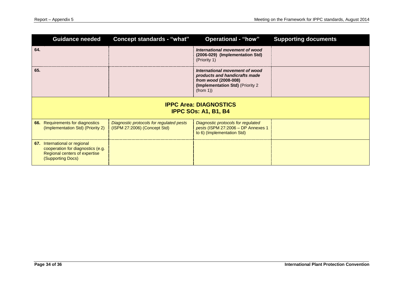| <b>Guidance needed</b>                                                                                                   | <b>Concept standards - "what"</b>                                        | <b>Operational - "how"</b>                                                                                                              | <b>Supporting documents</b> |  |
|--------------------------------------------------------------------------------------------------------------------------|--------------------------------------------------------------------------|-----------------------------------------------------------------------------------------------------------------------------------------|-----------------------------|--|
| 64.                                                                                                                      |                                                                          | International movement of wood<br>(2006-029) (Implementation Std)<br>(Priority 1)                                                       |                             |  |
| 65.                                                                                                                      |                                                                          | International movement of wood<br>products and handicrafts made<br>from wood (2008-008)<br>(Implementation Std) (Priority 2<br>(from 1) |                             |  |
| <b>IPPC Area: DIAGNOSTICS</b><br><b>IPPC SOs: A1, B1, B4</b>                                                             |                                                                          |                                                                                                                                         |                             |  |
| 66. Requirements for diagnostics<br>(Implementation Std) (Priority 2)                                                    | Diagnostic protocols for regulated pests<br>(ISPM 27:2006) (Concept Std) | Diagnostic protocols for regulated<br>pests (ISPM 27:2006 - DP Annexes 1<br>to 6) (Implementation Std)                                  |                             |  |
| 67. International or regional<br>cooperation for diagnostics (e.g.<br>Regional centers of expertise<br>(Supporting Docs) |                                                                          |                                                                                                                                         |                             |  |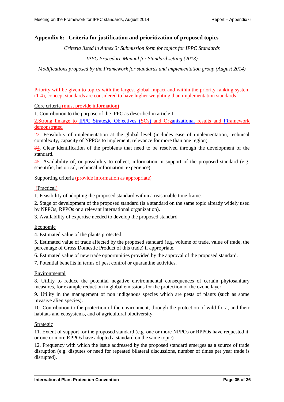## <span id="page-34-0"></span>**Appendix 6: Criteria for justification and prioritization of proposed topics**

*Criteria listed in Annex 3: Submission form for topics for IPPC Standards*

*IPPC Procedure Manual for Standard setting (2013)*

*Modifications proposed by the Framework for standards and implementation group (August 2014)*

Priority will be given to topics with the largest global impact and within the priority ranking system (1-4), concept standards are considered to have higher weighting than implementation standards.

Core criteria (must provide information)

1. Contribution to the purpose of the IPPC as described in article I.

2.Strong linkage to IPPC Strategic Objectives (SOs) and Organizational results and Fframework demonstrated

23. Feasibility of implementation at the global level (includes ease of implementation, technical complexity, capacity of NPPOs to implement, relevance for more than one region).

34. Clear identification of the problems that need to be resolved through the development of the standard.

45. Availability of, or possibility to collect, information in support of the proposed standard (e.g. scientific, historical, technical information, experience).

Supporting criteria (provide information as appropriate)

(Practical)

1. Feasibility of adopting the proposed standard within a reasonable time frame.

2. Stage of development of the proposed standard (is a standard on the same topic already widely used by NPPOs, RPPOs or a relevant international organization).

3. Availability of expertise needed to develop the proposed standard.

#### Economic

4. Estimated value of the plants protected.

5. Estimated value of trade affected by the proposed standard (e.g. volume of trade, value of trade, the percentage of Gross Domestic Product of this trade) if appropriate.

6. Estimated value of new trade opportunities provided by the approval of the proposed standard.

7. Potential benefits in terms of pest control or quarantine activities.

#### Environmental

8. Utility to reduce the potential negative environmental consequences of certain phytosanitary measures, for example reduction in global emissions for the protection of the ozone layer.

9. Utility in the management of non indigenous species which are pests of plants (such as some invasive alien species).

10. Contribution to the protection of the environment, through the protection of wild flora, and their habitats and ecosystems, and of agricultural biodiversity.

#### Strategic

11. Extent of support for the proposed standard (e.g. one or more NPPOs or RPPOs have requested it, or one or more RPPOs have adopted a standard on the same topic).

12. Frequency with which the issue addressed by the proposed standard emerges as a source of trade disruption (e.g. disputes or need for repeated bilateral discussions, number of times per year trade is disrupted).